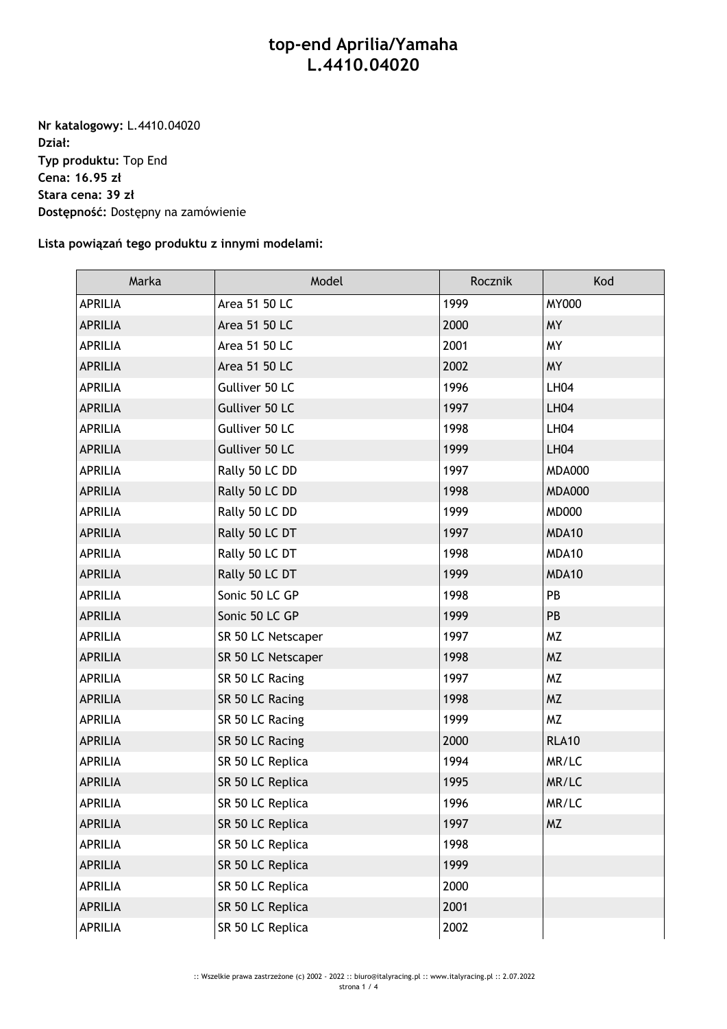## **top-end Aprilia/Yamaha L.4410.04020**

**Nr katalogowy:** L.4410.04020 **Dział: Typ produktu:** Top End **Cena: 16.95 zł Stara cena: 39 zł Dostępność:** Dostępny na zamówienie

**Lista powiązań tego produktu z innymi modelami:**

| Marka          | Model              | Rocznik | Kod           |
|----------------|--------------------|---------|---------------|
| <b>APRILIA</b> | Area 51 50 LC      | 1999    | <b>MY000</b>  |
| <b>APRILIA</b> | Area 51 50 LC      | 2000    | <b>MY</b>     |
| <b>APRILIA</b> | Area 51 50 LC      | 2001    | <b>MY</b>     |
| <b>APRILIA</b> | Area 51 50 LC      | 2002    | <b>MY</b>     |
| <b>APRILIA</b> | Gulliver 50 LC     | 1996    | <b>LH04</b>   |
| <b>APRILIA</b> | Gulliver 50 LC     | 1997    | <b>LH04</b>   |
| <b>APRILIA</b> | Gulliver 50 LC     | 1998    | <b>LH04</b>   |
| <b>APRILIA</b> | Gulliver 50 LC     | 1999    | <b>LH04</b>   |
| <b>APRILIA</b> | Rally 50 LC DD     | 1997    | <b>MDA000</b> |
| <b>APRILIA</b> | Rally 50 LC DD     | 1998    | <b>MDA000</b> |
| <b>APRILIA</b> | Rally 50 LC DD     | 1999    | <b>MD000</b>  |
| <b>APRILIA</b> | Rally 50 LC DT     | 1997    | MDA10         |
| <b>APRILIA</b> | Rally 50 LC DT     | 1998    | MDA10         |
| <b>APRILIA</b> | Rally 50 LC DT     | 1999    | MDA10         |
| <b>APRILIA</b> | Sonic 50 LC GP     | 1998    | PB            |
| <b>APRILIA</b> | Sonic 50 LC GP     | 1999    | PB            |
| <b>APRILIA</b> | SR 50 LC Netscaper | 1997    | <b>MZ</b>     |
| <b>APRILIA</b> | SR 50 LC Netscaper | 1998    | <b>MZ</b>     |
| <b>APRILIA</b> | SR 50 LC Racing    | 1997    | <b>MZ</b>     |
| <b>APRILIA</b> | SR 50 LC Racing    | 1998    | <b>MZ</b>     |
| <b>APRILIA</b> | SR 50 LC Racing    | 1999    | <b>MZ</b>     |
| <b>APRILIA</b> | SR 50 LC Racing    | 2000    | <b>RLA10</b>  |
| <b>APRILIA</b> | SR 50 LC Replica   | 1994    | MR/LC         |
| <b>APRILIA</b> | SR 50 LC Replica   | 1995    | MR/LC         |
| <b>APRILIA</b> | SR 50 LC Replica   | 1996    | MR/LC         |
| <b>APRILIA</b> | SR 50 LC Replica   | 1997    | <b>MZ</b>     |
| APRILIA        | SR 50 LC Replica   | 1998    |               |
| <b>APRILIA</b> | SR 50 LC Replica   | 1999    |               |
| <b>APRILIA</b> | SR 50 LC Replica   | 2000    |               |
| <b>APRILIA</b> | SR 50 LC Replica   | 2001    |               |
| <b>APRILIA</b> | SR 50 LC Replica   | 2002    |               |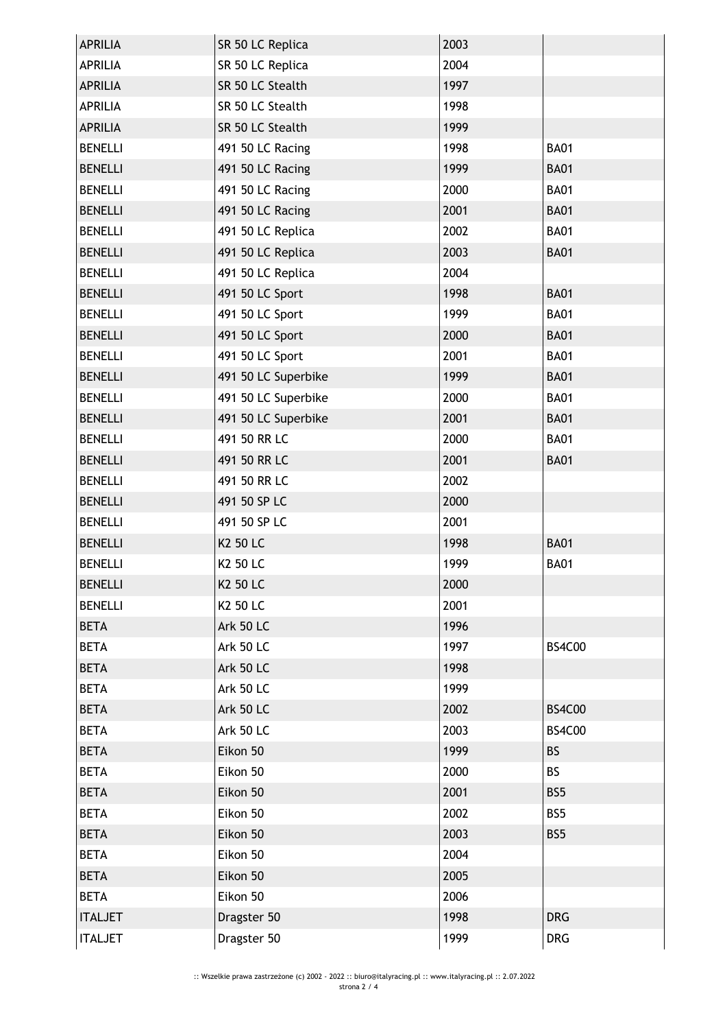| <b>APRILIA</b> | SR 50 LC Replica    | 2003 |               |
|----------------|---------------------|------|---------------|
| <b>APRILIA</b> | SR 50 LC Replica    | 2004 |               |
| <b>APRILIA</b> | SR 50 LC Stealth    | 1997 |               |
| <b>APRILIA</b> | SR 50 LC Stealth    | 1998 |               |
| <b>APRILIA</b> | SR 50 LC Stealth    | 1999 |               |
| <b>BENELLI</b> | 491 50 LC Racing    | 1998 | <b>BA01</b>   |
| <b>BENELLI</b> | 491 50 LC Racing    | 1999 | <b>BA01</b>   |
| <b>BENELLI</b> | 491 50 LC Racing    | 2000 | <b>BA01</b>   |
| <b>BENELLI</b> | 491 50 LC Racing    | 2001 | <b>BA01</b>   |
| <b>BENELLI</b> | 491 50 LC Replica   | 2002 | <b>BA01</b>   |
| <b>BENELLI</b> | 491 50 LC Replica   | 2003 | <b>BA01</b>   |
| <b>BENELLI</b> | 491 50 LC Replica   | 2004 |               |
| <b>BENELLI</b> | 491 50 LC Sport     | 1998 | <b>BA01</b>   |
| <b>BENELLI</b> | 491 50 LC Sport     | 1999 | <b>BA01</b>   |
| <b>BENELLI</b> | 491 50 LC Sport     | 2000 | <b>BA01</b>   |
| <b>BENELLI</b> | 491 50 LC Sport     | 2001 | <b>BA01</b>   |
| <b>BENELLI</b> | 491 50 LC Superbike | 1999 | <b>BA01</b>   |
| <b>BENELLI</b> | 491 50 LC Superbike | 2000 | <b>BA01</b>   |
| <b>BENELLI</b> | 491 50 LC Superbike | 2001 | <b>BA01</b>   |
| <b>BENELLI</b> | 491 50 RR LC        | 2000 | <b>BA01</b>   |
| <b>BENELLI</b> | 491 50 RR LC        | 2001 | <b>BA01</b>   |
| <b>BENELLI</b> | 491 50 RR LC        | 2002 |               |
| <b>BENELLI</b> | 491 50 SP LC        | 2000 |               |
| <b>BENELLI</b> | 491 50 SP LC        | 2001 |               |
| <b>BENELLI</b> | K2 50 LC            | 1998 | <b>BA01</b>   |
| <b>BENELLI</b> | K2 50 LC            | 1999 | <b>BA01</b>   |
| <b>BENELLI</b> | K2 50 LC            | 2000 |               |
| <b>BENELLI</b> | K2 50 LC            | 2001 |               |
| <b>BETA</b>    | <b>Ark 50 LC</b>    | 1996 |               |
| <b>BETA</b>    | <b>Ark 50 LC</b>    | 1997 | <b>BS4C00</b> |
| <b>BETA</b>    | Ark 50 LC           | 1998 |               |
| <b>BETA</b>    | <b>Ark 50 LC</b>    | 1999 |               |
| <b>BETA</b>    | <b>Ark 50 LC</b>    | 2002 | <b>BS4C00</b> |
| <b>BETA</b>    | <b>Ark 50 LC</b>    | 2003 | <b>BS4C00</b> |
| <b>BETA</b>    | Eikon 50            | 1999 | <b>BS</b>     |
| <b>BETA</b>    | Eikon 50            | 2000 | <b>BS</b>     |
| <b>BETA</b>    | Eikon 50            | 2001 | BS5           |
| <b>BETA</b>    | Eikon 50            | 2002 | BS5           |
| <b>BETA</b>    | Eikon 50            | 2003 | BS5           |
| <b>BETA</b>    | Eikon 50            | 2004 |               |
| <b>BETA</b>    | Eikon 50            | 2005 |               |
| <b>BETA</b>    | Eikon 50            | 2006 |               |
| <b>ITALJET</b> | Dragster 50         | 1998 | <b>DRG</b>    |
| <b>ITALJET</b> | Dragster 50         | 1999 | <b>DRG</b>    |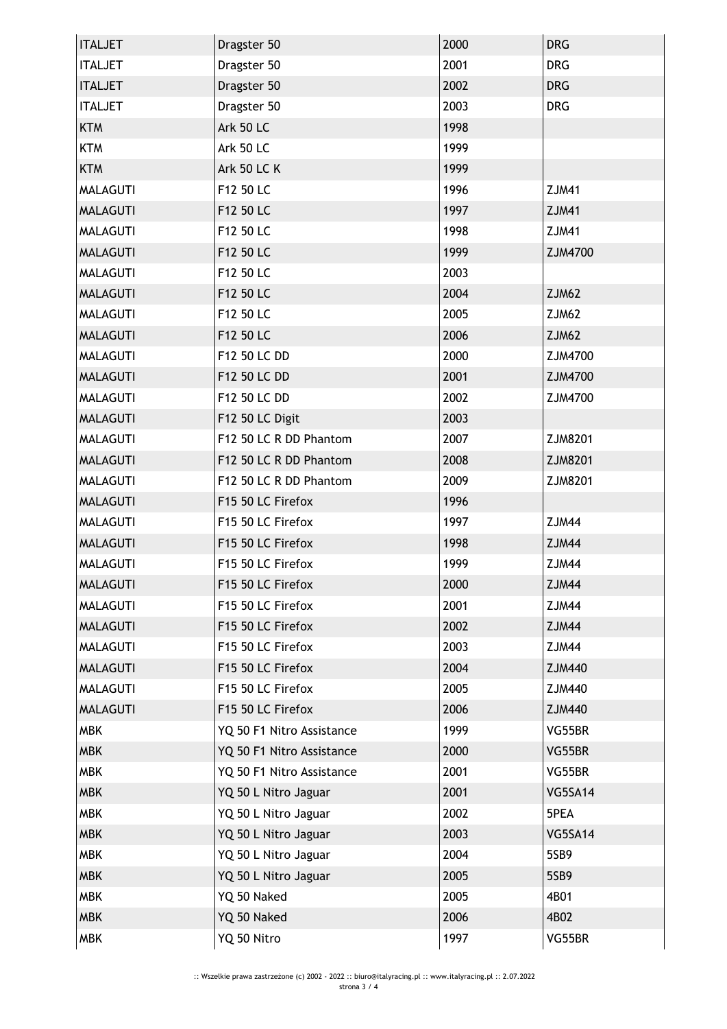| <b>ITALJET</b>  | Dragster 50               | 2000 | <b>DRG</b>   |
|-----------------|---------------------------|------|--------------|
| <b>ITALJET</b>  | Dragster 50               | 2001 | <b>DRG</b>   |
| <b>ITALJET</b>  | Dragster 50               | 2002 | <b>DRG</b>   |
| <b>ITALJET</b>  | Dragster 50               | 2003 | <b>DRG</b>   |
| <b>KTM</b>      | <b>Ark 50 LC</b>          | 1998 |              |
| <b>KTM</b>      | <b>Ark 50 LC</b>          | 1999 |              |
| <b>KTM</b>      | <b>Ark 50 LC K</b>        | 1999 |              |
| <b>MALAGUTI</b> | F12 50 LC                 | 1996 | <b>ZJM41</b> |
| <b>MALAGUTI</b> | F12 50 LC                 | 1997 | <b>ZJM41</b> |
| <b>MALAGUTI</b> | F12 50 LC                 | 1998 | <b>ZJM41</b> |
| <b>MALAGUTI</b> | F12 50 LC                 | 1999 | ZJM4700      |
| <b>MALAGUTI</b> | F12 50 LC                 | 2003 |              |
| <b>MALAGUTI</b> | F12 50 LC                 | 2004 | ZJM62        |
| <b>MALAGUTI</b> | F12 50 LC                 | 2005 | ZJM62        |
| <b>MALAGUTI</b> | F12 50 LC                 | 2006 | ZJM62        |
| <b>MALAGUTI</b> | F12 50 LC DD              | 2000 | ZJM4700      |
| <b>MALAGUTI</b> | F12 50 LC DD              | 2001 | ZJM4700      |
| <b>MALAGUTI</b> | F12 50 LC DD              | 2002 | ZJM4700      |
| <b>MALAGUTI</b> | F12 50 LC Digit           | 2003 |              |
| <b>MALAGUTI</b> | F12 50 LC R DD Phantom    | 2007 | ZJM8201      |
| <b>MALAGUTI</b> | F12 50 LC R DD Phantom    | 2008 | ZJM8201      |
| <b>MALAGUTI</b> | F12 50 LC R DD Phantom    | 2009 | ZJM8201      |
| <b>MALAGUTI</b> | F15 50 LC Firefox         | 1996 |              |
| <b>MALAGUTI</b> | F15 50 LC Firefox         | 1997 | ZJM44        |
| <b>MALAGUTI</b> | F15 50 LC Firefox         | 1998 | ZJM44        |
| <b>MALAGUTI</b> | F15 50 LC Firefox         | 1999 | ZJM44        |
| <b>MALAGUTI</b> | F15 50 LC Firefox         | 2000 | ZJM44        |
| <b>MALAGUTI</b> | F15 50 LC Firefox         | 2001 | ZJM44        |
| <b>MALAGUTI</b> | F15 50 LC Firefox         | 2002 | ZJM44        |
| <b>MALAGUTI</b> | F15 50 LC Firefox         | 2003 | ZJM44        |
| <b>MALAGUTI</b> | F15 50 LC Firefox         | 2004 | ZJM440       |
| <b>MALAGUTI</b> | F15 50 LC Firefox         | 2005 | ZJM440       |
| <b>MALAGUTI</b> | F15 50 LC Firefox         | 2006 | ZJM440       |
| <b>MBK</b>      | YQ 50 F1 Nitro Assistance | 1999 | VG55BR       |
| <b>MBK</b>      | YQ 50 F1 Nitro Assistance | 2000 | VG55BR       |
| <b>MBK</b>      | YQ 50 F1 Nitro Assistance | 2001 | VG55BR       |
| <b>MBK</b>      | YQ 50 L Nitro Jaguar      | 2001 | VG5SA14      |
| <b>MBK</b>      | YQ 50 L Nitro Jaguar      | 2002 | 5PEA         |
| <b>MBK</b>      | YQ 50 L Nitro Jaguar      | 2003 | VG5SA14      |
| <b>MBK</b>      | YQ 50 L Nitro Jaguar      | 2004 | 5SB9         |
| <b>MBK</b>      | YQ 50 L Nitro Jaguar      | 2005 | 5SB9         |
| <b>MBK</b>      | YQ 50 Naked               | 2005 | 4B01         |
| <b>MBK</b>      | YQ 50 Naked               | 2006 | 4B02         |
| <b>MBK</b>      | YQ 50 Nitro               | 1997 | VG55BR       |